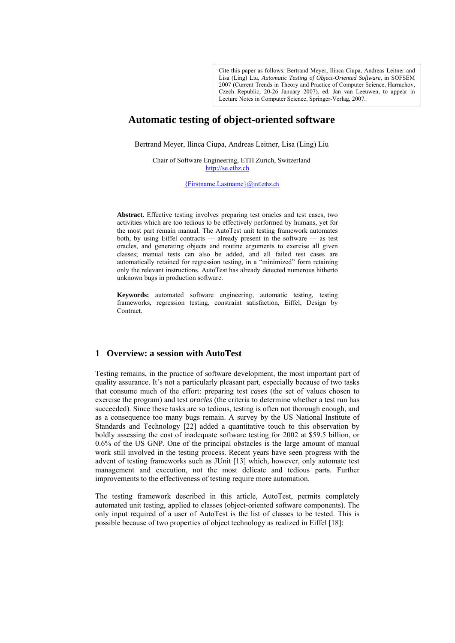Cite this paper as follows: Bertrand Meyer, Ilinca Ciupa, Andreas Leitner and Lisa (Ling) Liu, *Automatic Testing of Object-Oriented Software*, in SOFSEM 2007 (Current Trends in Theory and Practice of Computer Science, Harrachov, Czech Republic, 20-26 January 2007), ed. Jan van Leeuwen, to appear in Lecture Notes in Computer Science, Springer-Verlag, 2007.

# **Automatic testing of object-oriented software**

Bertrand Meyer, Ilinca Ciupa, Andreas Leitner, Lisa (Ling) Liu

Chair of Software Engineering, ETH Zurich, Switzerland [http://se.ethz.ch](http://se.ethz.ch/)

{Firstname.Lastname}@inf.ethz.ch

**Abstract.** Effective testing involves preparing test oracles and test cases, two activities which are too tedious to be effectively performed by humans, yet for the most part remain manual. The AutoTest unit testing framework automates both, by using Eiffel contracts — already present in the software — as test oracles, and generating objects and routine arguments to exercise all given classes; manual tests can also be added, and all failed test cases are automatically retained for regression testing, in a "minimized" form retaining only the relevant instructions. AutoTest has already detected numerous hitherto unknown bugs in production software.

**Keywords:** automated software engineering, automatic testing, testing frameworks, regression testing, constraint satisfaction, Eiffel, Design by **Contract.** 

## **1 Overview: a session with AutoTest**

Testing remains, in the practice of software development, the most important part of quality assurance. It's not a particularly pleasant part, especially because of two tasks that consume much of the effort: preparing test *cases* (the set of values chosen to exercise the program) and test *oracles* (the criteria to determine whether a test run has succeeded). Since these tasks are so tedious, testing is often not thorough enough, and as a consequence too many bugs remain. A survey by the US National Institute of Standards and Technology [[22\]](#page-16-0) added a quantitative touch to this observation by boldly assessing the cost of inadequate software testing for 2002 at \$59.5 billion, or 0.6% of the US GNP. One of the principal obstacles is the large amount of manual work still involved in the testing process. Recent years have seen progress with the advent of testing frameworks such as JUnit [[13\]](#page-16-1) which, however, only automate test management and execution, not the most delicate and tedious parts. Further improvements to the effectiveness of testing require more automation.

The testing framework described in this article, AutoTest, permits completely automated unit testing, applied to classes (object-oriented software components). The only input required of a user of AutoTest is the list of classes to be tested. This is possible because of two properties of object technology as realized in Eiffel [[18\]](#page-16-2):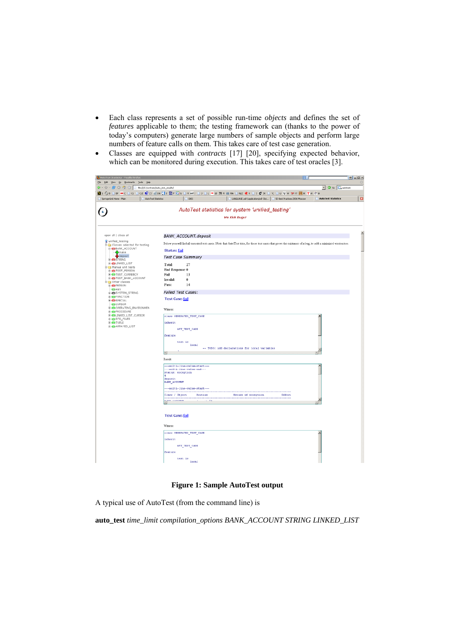- Each class represents a set of possible run-time *objects* and defines the set of *features* applicable to them; the testing framework can (thanks to the power of today's computers) generate large numbers of sample objects and perform large numbers of feature calls on them. This takes care of test case generation.
- Classes are equipped with *contracts* [\[17](#page-16-3)] [[20\]](#page-16-4), specifying expected behavior, which can be monitored during execution. This takes care of test oracles [\[3\]](#page-15-0).

| AutoTest Statistics - Mozilla Firefox                                                                                                                                                    | 18.                                                                                                                                                                            | $ 0 $ $ 0 $ $ 0 $        |
|------------------------------------------------------------------------------------------------------------------------------------------------------------------------------------------|--------------------------------------------------------------------------------------------------------------------------------------------------------------------------------|--------------------------|
| Elle Edit Yew So Bookmarks Tools Help<br>C - C - C C C   He:    C:  contract/auto_test_results/                                                                                          |                                                                                                                                                                                |                          |
|                                                                                                                                                                                          | MSS ⊙ 8 E 12 P WEC E Q LO QUE ⊆ CS @ DN ML E Q G E H mH E E D ELL → LB TH M MA E MA E N R R E S C S E DE WW TWY THAT TH F O                                                    |                          |
| SpringerLink Home - Main                                                                                                                                                                 | AutoTest Statistics<br>$B$ IDES<br>LANGUAGE pdf (application/pdf Obj       5D Best Practices 2006 Moscow<br>AutoTest Statistics                                                | ø                        |
|                                                                                                                                                                                          | AutoTest statistics for system 'unified_testing'<br>We Kick Bugs!                                                                                                              |                          |
| open all   close all                                                                                                                                                                     | <b>BANK ACCOUNT.deposit</b>                                                                                                                                                    | $\overline{\phantom{a}}$ |
| unified_testing                                                                                                                                                                          |                                                                                                                                                                                |                          |
| <b>B-Classes selected for testing</b><br><b>BANK_ACCOUNT</b>                                                                                                                             | Below you will find all executed test cases. Note that AutoTest tries, for those test cases that prove the existance of a bug, to add a minimized version too.<br>Status: fail |                          |
| $\mathbf{e}$ make<br>deposit                                                                                                                                                             | <b>Test Case Summary</b>                                                                                                                                                       |                          |
| <b>B</b> STRING<br><b>B</b> UNKED_LIST<br><b>B &amp; Manual unit tests</b><br><b>BOTEST_PERSON</b><br><b>B-C</b> TEST_CURRENCY<br><b>E-COTEST_BANK_ACCOUNT</b><br><b>B</b> Other classes | Total:<br>27<br>Bad Response: 0<br>Fail:<br>13<br>0<br>Invalid:<br>Pass:<br>14                                                                                                 |                          |
| <b>B</b> PERSON<br><b>BANY</b>                                                                                                                                                           |                                                                                                                                                                                |                          |
| SYSTEM_STRING<br><b>E-C-FUNCTION</b>                                                                                                                                                     | <b>Failed Test Cases:</b>                                                                                                                                                      |                          |
| <b>B</b> SPECIAL<br>CURSOR                                                                                                                                                               | <b>Test Case:</b> fail                                                                                                                                                         |                          |
| <b>B-COPERATING_ENVIRONMEN</b><br><b>B</b> PROCEDURE                                                                                                                                     | Witness:                                                                                                                                                                       |                          |
| <b>B-CLINKED_LIST_CURSOR</b><br><b>B</b> STO_FILES                                                                                                                                       | class GENERATED_TEST_CASE                                                                                                                                                      |                          |
| <b>B-COTUPLE</b>                                                                                                                                                                         | inherit                                                                                                                                                                        |                          |
| <b>B</b> ARRAYED_LIST                                                                                                                                                                    | AUT_TEST_CASE                                                                                                                                                                  |                          |
|                                                                                                                                                                                          | feature                                                                                                                                                                        |                          |
|                                                                                                                                                                                          | test is<br>local                                                                                                                                                               |                          |
|                                                                                                                                                                                          | -- TODO: Add declarations for local variables<br><b>KI</b>                                                                                                                     |                          |
|                                                                                                                                                                                          | Result:                                                                                                                                                                        |                          |
|                                                                                                                                                                                          | --- multi-line-value-start---                                                                                                                                                  |                          |
|                                                                                                                                                                                          | --- multi-line-value-end---<br>status: exception                                                                                                                               |                          |
|                                                                                                                                                                                          | deposit                                                                                                                                                                        |                          |
|                                                                                                                                                                                          | <b>BANK ACCOUNT</b>                                                                                                                                                            |                          |
|                                                                                                                                                                                          | --- multi-line-value-start---<br>                                                                                                                                              |                          |
|                                                                                                                                                                                          | Class / Object<br><b>Routine</b><br>Nature of exception<br>Effect                                                                                                              |                          |
|                                                                                                                                                                                          | T <sup>her</sup> Saasing<br><b>Allen Architect</b>                                                                                                                             |                          |
|                                                                                                                                                                                          | <b>Test Case:fail</b>                                                                                                                                                          |                          |
|                                                                                                                                                                                          | Witness:                                                                                                                                                                       |                          |
|                                                                                                                                                                                          | class GENERATED TEST CASE                                                                                                                                                      |                          |
|                                                                                                                                                                                          | inherit                                                                                                                                                                        |                          |
|                                                                                                                                                                                          | AUT TEST CASE                                                                                                                                                                  |                          |
|                                                                                                                                                                                          | <b>Teature</b>                                                                                                                                                                 |                          |
|                                                                                                                                                                                          | test is<br>local                                                                                                                                                               |                          |
|                                                                                                                                                                                          |                                                                                                                                                                                |                          |

**Figure 1: Sample AutoTest output** 

A typical use of AutoTest (from the command line) is

**auto\_test** *time\_limit compilation\_options BANK\_ACCOUNT STRING LINKED\_LIST*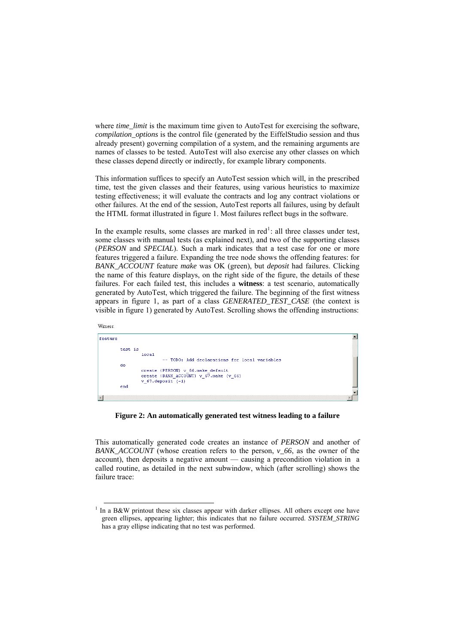where *time\_limit* is the maximum time given to AutoTest for exercising the software, *compilation options* is the control file (generated by the EiffelStudio session and thus already present) governing compilation of a system, and the remaining arguments are names of classes to be tested. AutoTest will also exercise any other classes on which these classes depend directly or indirectly, for example library components.

This information suffices to specify an AutoTest session which will, in the prescribed time, test the given classes and their features, using various heuristics to maximize testing effectiveness; it will evaluate the contracts and log any contract violations or other failures. At the end of the session, AutoTest reports all failures, using by default the HTML format illustrated in figure 1. Most failures reflect bugs in the software.

In the example results, some classes are marked in red<sup>[1](#page-2-0)</sup>: all three classes under test, some classes with manual tests (as explained next), and two of the supporting classes (*PERSON* and *SPECIAL*). Such a mark indicates that a test case for one or more features triggered a failure. Expanding the tree node shows the offending features: for *BANK\_ACCOUNT* feature *make* was OK (green), but *deposit* had failures. Clicking the name of this feature displays, on the right side of the figure, the details of these failures. For each failed test, this includes a **witness**: a test scenario, automatically generated by AutoTest, which triggered the failure. The beginning of the first witness appears in figure 1, as part of a class *GENERATED\_TEST\_CASE* (the context is visible in figure 1) generated by AutoTest. Scrolling shows the offending instructions:



**Figure 2: An automatically generated test witness leading to a failure** 

This automatically generated code creates an instance of *PERSON* and another of *BANK\_ACCOUNT* (whose creation refers to the person, *v\_66*, as the owner of the account), then deposits a negative amount — causing a precondition violation in a called routine, as detailed in the next subwindow, which (after scrolling) shows the failure trace:

<span id="page-2-0"></span><sup>&</sup>lt;sup>1</sup> In a B&W printout these six classes appear with darker ellipses. All others except one have green ellipses, appearing lighter; this indicates that no failure occurred. *SYSTEM\_STRING* has a gray ellipse indicating that no test was performed.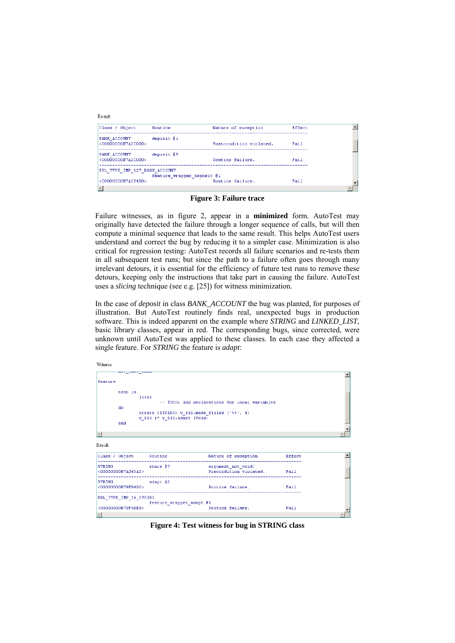| Result:                                    |                            |                         |        |  |
|--------------------------------------------|----------------------------|-------------------------|--------|--|
| Class / Object                             | Routine                    | Nature of exception     | Effect |  |
| <b>BANK ACCOUNT</b><br><000000000B7A2C000> | deposit 01                 | Postcondition violated. | Fail   |  |
| <b>BANK ACCOUNT</b><br><0000000087A2C000>  | deposit 05                 | Routine failure.        | Fail   |  |
| ERL TYPE IMP 127 BANK ACCOUNT              | feature wrapper deposit 01 |                         |        |  |
| <00000000B7A28458>                         |                            | Routine failure.        | Fail   |  |
|                                            |                            |                         |        |  |

**Figure 3: Failure trace** 

Failure witnesses, as in figure 2, appear in a **minimized** form. AutoTest may originally have detected the failure through a longer sequence of calls, but will then compute a minimal sequence that leads to the same result. This helps AutoTest users understand and correct the bug by reducing it to a simpler case. Minimization is also critical for regression testing: AutoTest records all failure scenarios and re-tests them in all subsequent test runs; but since the path to a failure often goes through many irrelevant detours, it is essential for the efficiency of future test runs to remove these detours, keeping only the instructions that take part in causing the failure. AutoTest uses a *slicing* technique (see e.g. [[25\]](#page-16-5)) for witness minimization.

In the case of *deposit* in class *BANK\_ACCOUNT* the bug was planted, for purposes of illustration. But AutoTest routinely finds real, unexpected bugs in production software. This is indeed apparent on the example where *STRING* and *LINKED\_LIST*, basic library classes, appear in red. The corresponding bugs, since corrected, were unknown until AutoTest was applied to these classes. In each case they affected a single feature. For *STRING* the feature is *adapt*:

Witness: feature test is local -- TODO: Add declarations for local variables  $d\alpha$ create (STRING) v\_510.make\_filled (' $\$ ', 4)<br>v\_514 := v\_510.adapt (Void) end  $\vert$  4 Result:  $\blacktriangle$ Class / Object Routine Nature of exception Effect argument\_not\_void:<br>Precondition violated STRING share 87 <00000000B7A063A0> Fail STRING adapt 02 <00000000B79FD480> Routine failure. Fail ERL\_TYPE\_IMP\_16\_STRING feature wrapper adapt 01

**Figure 4: Test witness for bug in STRING class** 

Routine failure.

Fail

<00000000B79F4DE8>

 $\overline{\mathbb{R}}$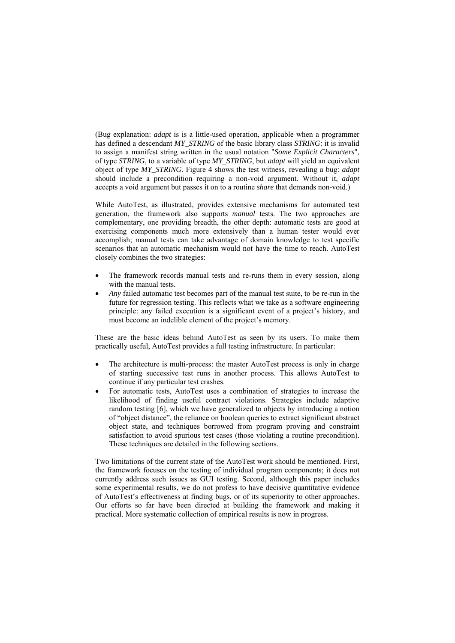(Bug explanation: *adapt* is is a little-used operation, applicable when a programmer has defined a descendant *MY\_STRING* of the basic library class *STRING*: it is invalid to assign a manifest string written in the usual notation "*Some Explicit Characters*", of type *STRING*, to a variable of type *MY\_STRING*, but *adapt* will yield an equivalent object of type *MY\_STRING*. Figure 4 shows the test witness, revealing a bug: *adapt* should include a precondition requiring a non-void argument. Without it, *adapt* accepts a void argument but passes it on to a routine *share* that demands non-void.)

While AutoTest, as illustrated, provides extensive mechanisms for automated test generation, the framework also supports *manual* tests. The two approaches are complementary, one providing breadth, the other depth: automatic tests are good at exercising components much more extensively than a human tester would ever accomplish; manual tests can take advantage of domain knowledge to test specific scenarios that an automatic mechanism would not have the time to reach. AutoTest closely combines the two strategies:

- The framework records manual tests and re-runs them in every session, along with the manual tests.
- *Any* failed automatic test becomes part of the manual test suite, to be re-run in the future for regression testing. This reflects what we take as a software engineering principle: any failed execution is a significant event of a project's history, and must become an indelible element of the project's memory.

These are the basic ideas behind AutoTest as seen by its users. To make them practically useful, AutoTest provides a full testing infrastructure. In particular:

- The architecture is multi-process: the master AutoTest process is only in charge of starting successive test runs in another process. This allows AutoTest to continue if any particular test crashes.
- For automatic tests, AutoTest uses a combination of strategies to increase the likelihood of finding useful contract violations. Strategies include adaptive random testing [[6\]](#page-16-6), which we have generalized to objects by introducing a notion of "object distance", the reliance on boolean queries to extract significant abstract object state, and techniques borrowed from program proving and constraint satisfaction to avoid spurious test cases (those violating a routine precondition). These techniques are detailed in the following sections.

Two limitations of the current state of the AutoTest work should be mentioned. First, the framework focuses on the testing of individual program components; it does not currently address such issues as GUI testing. Second, although this paper includes some experimental results, we do not profess to have decisive quantitative evidence of AutoTest's effectiveness at finding bugs, or of its superiority to other approaches. Our efforts so far have been directed at building the framework and making it practical. More systematic collection of empirical results is now in progress.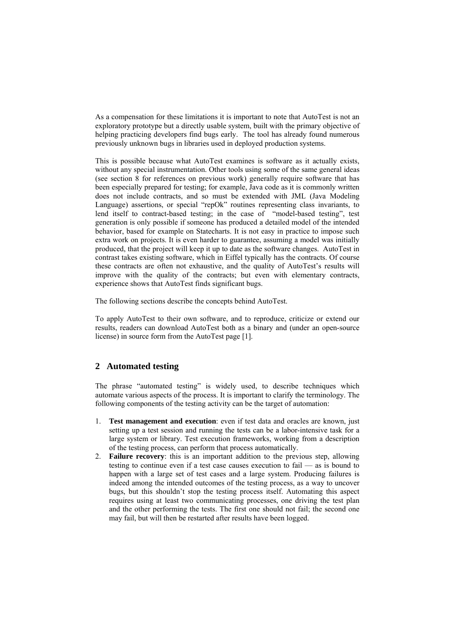As a compensation for these limitations it is important to note that AutoTest is not an exploratory prototype but a directly usable system, built with the primary objective of helping practicing developers find bugs early. The tool has already found numerous previously unknown bugs in libraries used in deployed production systems.

This is possible because what AutoTest examines is software as it actually exists, without any special instrumentation. Other tools using some of the same general ideas (see section 8 for references on previous work) generally require software that has been especially prepared for testing; for example, Java code as it is commonly written does not include contracts, and so must be extended with JML (Java Modeling Language) assertions, or special "repOk" routines representing class invariants, to lend itself to contract-based testing; in the case of "model-based testing", test generation is only possible if someone has produced a detailed model of the intended behavior, based for example on Statecharts. It is not easy in practice to impose such extra work on projects. It is even harder to guarantee, assuming a model was initially produced, that the project will keep it up to date as the software changes. AutoTest in contrast takes existing software, which in Eiffel typically has the contracts. Of course these contracts are often not exhaustive, and the quality of AutoTest's results will improve with the quality of the contracts; but even with elementary contracts, experience shows that AutoTest finds significant bugs.

The following sections describe the concepts behind AutoTest.

To apply AutoTest to their own software, and to reproduce, criticize or extend our results, readers can download AutoTest both as a binary and (under an open-source license) in source form from the AutoTest page [\[1](#page-15-1)].

## **2 Automated testing**

The phrase "automated testing" is widely used, to describe techniques which automate various aspects of the process. It is important to clarify the terminology. The following components of the testing activity can be the target of automation:

- 1. **Test management and execution**: even if test data and oracles are known, just setting up a test session and running the tests can be a labor-intensive task for a large system or library. Test execution frameworks, working from a description of the testing process, can perform that process automatically.
- 2. **Failure recovery**: this is an important addition to the previous step, allowing testing to continue even if a test case causes execution to fail — as is bound to happen with a large set of test cases and a large system. Producing failures is indeed among the intended outcomes of the testing process, as a way to uncover bugs, but this shouldn't stop the testing process itself. Automating this aspect requires using at least two communicating processes, one driving the test plan and the other performing the tests. The first one should not fail; the second one may fail, but will then be restarted after results have been logged.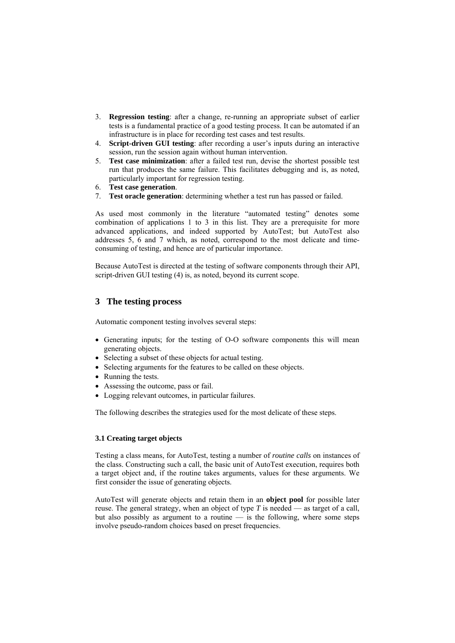- 3. **Regression testing**: after a change, re-running an appropriate subset of earlier tests is a fundamental practice of a good testing process. It can be automated if an infrastructure is in place for recording test cases and test results.
- 4. **Script-driven GUI testing**: after recording a user's inputs during an interactive session, run the session again without human intervention.
- 5. **Test case minimization**: after a failed test run, devise the shortest possible test run that produces the same failure. This facilitates debugging and is, as noted, particularly important for regression testing.
- 6. **Test case generation**.
- 7. **Test oracle generation**: determining whether a test run has passed or failed.

As used most commonly in the literature "automated testing" denotes some combination of applications 1 to 3 in this list. They are a prerequisite for more advanced applications, and indeed supported by AutoTest; but AutoTest also addresses 5, 6 and 7 which, as noted, correspond to the most delicate and timeconsuming of testing, and hence are of particular importance.

Because AutoTest is directed at the testing of software components through their API, script-driven GUI testing (4) is, as noted, beyond its current scope.

# **3 The testing process**

Automatic component testing involves several steps:

- Generating inputs; for the testing of O-O software components this will mean generating objects.
- Selecting a subset of these objects for actual testing.
- Selecting arguments for the features to be called on these objects.
- Running the tests.
- Assessing the outcome, pass or fail.
- Logging relevant outcomes, in particular failures.

The following describes the strategies used for the most delicate of these steps.

## **3.1 Creating target objects**

Testing a class means, for AutoTest, testing a number of *routine calls* on instances of the class. Constructing such a call, the basic unit of AutoTest execution, requires both a target object and, if the routine takes arguments, values for these arguments. We first consider the issue of generating objects.

AutoTest will generate objects and retain them in an **object pool** for possible later reuse. The general strategy, when an object of type *T* is needed — as target of a call, but also possibly as argument to a routine  $\frac{1}{x}$  is the following, where some steps involve pseudo-random choices based on preset frequencies.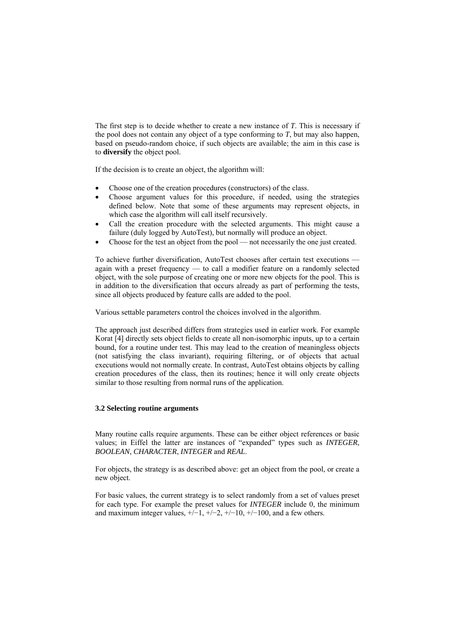The first step is to decide whether to create a new instance of *T*. This is necessary if the pool does not contain any object of a type conforming to *T*, but may also happen, based on pseudo-random choice, if such objects are available; the aim in this case is to **diversify** the object pool.

If the decision is to create an object, the algorithm will:

- Choose one of the creation procedures (constructors) of the class.
- Choose argument values for this procedure, if needed, using the strategies defined below. Note that some of these arguments may represent objects, in which case the algorithm will call itself recursively.
- Call the creation procedure with the selected arguments. This might cause a failure (duly logged by AutoTest), but normally will produce an object.
- Choose for the test an object from the pool not necessarily the one just created.

To achieve further diversification, AutoTest chooses after certain test executions again with a preset frequency — to call a modifier feature on a randomly selected object, with the sole purpose of creating one or more new objects for the pool. This is in addition to the diversification that occurs already as part of performing the tests, since all objects produced by feature calls are added to the pool.

Various settable parameters control the choices involved in the algorithm.

The approach just described differs from strategies used in earlier work. For example Korat [[4\]](#page-15-2) directly sets object fields to create all non-isomorphic inputs, up to a certain bound, for a routine under test. This may lead to the creation of meaningless objects (not satisfying the class invariant), requiring filtering, or of objects that actual executions would not normally create. In contrast, AutoTest obtains objects by calling creation procedures of the class, then its routines; hence it will only create objects similar to those resulting from normal runs of the application.

### **3.2 Selecting routine arguments**

Many routine calls require arguments. These can be either object references or basic values; in Eiffel the latter are instances of "expanded" types such as *INTEGER*, *BOOLEAN*, *CHARACTER*, *INTEGER* and *REAL*.

For objects, the strategy is as described above: get an object from the pool, or create a new object.

For basic values, the current strategy is to select randomly from a set of values preset for each type. For example the preset values for *INTEGER* include 0, the minimum and maximum integer values,  $+/-1$ ,  $+/-2$ ,  $+/-10$ ,  $+/-100$ , and a few others.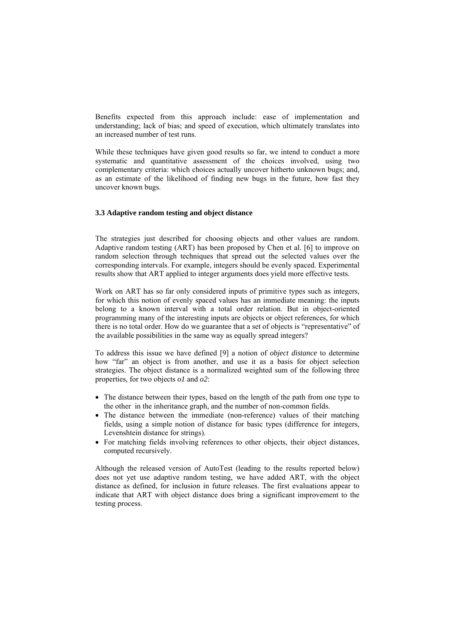Benefits expected from this approach include: ease of implementation and understanding; lack of bias; and speed of execution, which ultimately translates into an increased number of test runs.

While these techniques have given good results so far, we intend to conduct a more systematic and quantitative assessment of the choices involved, using two complementary criteria: which choices actually uncover hitherto unknown bugs; and, as an estimate of the likelihood of finding new bugs in the future, how fast they uncover known bugs.

### **3.3 Adaptive random testing and object distance**

The strategies just described for choosing objects and other values are random. Adaptive random testing (ART) has been proposed by Chen et al. [\[6](#page-16-6)] to improve on random selection through techniques that spread out the selected values over the corresponding intervals. For example, integers should be evenly spaced. Experimental results show that ART applied to integer arguments does yield more effective tests.

Work on ART has so far only considered inputs of primitive types such as integers. for which this notion of evenly spaced values has an immediate meaning: the inputs belong to a known interval with a total order relation. But in object-oriented programming many of the interesting inputs are objects or object references, for which there is no total order. How do we guarantee that a set of objects is "representative" of the available possibilities in the same way as equally spread integers?

To address this issue we have defined [\[9](#page-16-7)] a notion of *object distance* to determine how "far" an object is from another, and use it as a basis for object selection strategies. The object distance is a normalized weighted sum of the following three properties, for two objects *o1* and *o2*:

- The distance between their types, based on the length of the path from one type to the other in the inheritance graph, and the number of non-common fields.
- The distance between the immediate (non-reference) values of their matching fields, using a simple notion of distance for basic types (difference for integers, Levenshtein distance for strings).
- For matching fields involving references to other objects, their object distances, computed recursively.

Although the released version of AutoTest (leading to the results reported below) does not yet use adaptive random testing, we have added ART, with the object distance as defined, for inclusion in future releases. The first evaluations appear to indicate that ART with object distance does bring a significant improvement to the testing process.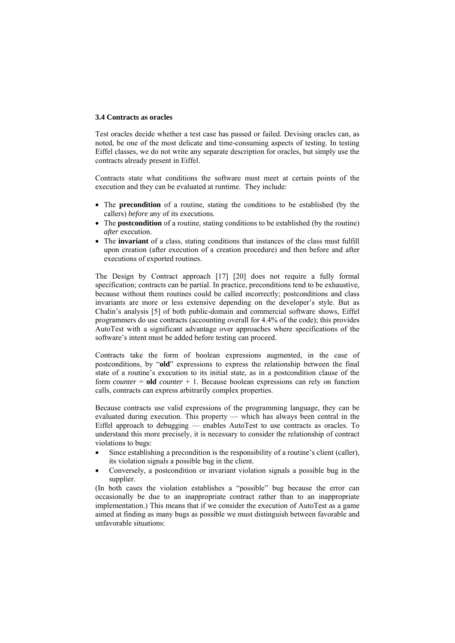#### **3.4 Contracts as oracles**

Test oracles decide whether a test case has passed or failed. Devising oracles can, as noted, be one of the most delicate and time-consuming aspects of testing. In testing Eiffel classes, we do not write any separate description for oracles, but simply use the contracts already present in Eiffel.

Contracts state what conditions the software must meet at certain points of the execution and they can be evaluated at runtime. They include:

- The **precondition** of a routine, stating the conditions to be established (by the callers) *before* any of its executions.
- The **postcondition** of a routine, stating conditions to be established (by the routine) *after* execution.
- The **invariant** of a class, stating conditions that instances of the class must fulfill upon creation (after execution of a creation procedure) and then before and after executions of exported routines.

The Design by Contract approach [[17\]](#page-16-3) [[20\]](#page-16-4) does not require a fully formal specification; contracts can be partial. In practice, preconditions tend to be exhaustive, because without them routines could be called incorrectly; postconditions and class invariants are more or less extensive depending on the developer's style. But as Chalin's analysis [[5\]](#page-16-8) of both public-domain and commercial software shows, Eiffel programmers do use contracts (accounting overall for 4.4% of the code); this provides AutoTest with a significant advantage over approaches where specifications of the software's intent must be added before testing can proceed.

Contracts take the form of boolean expressions augmented, in the case of postconditions, by "**old**" expressions to express the relationship between the final state of a routine's execution to its initial state, as in a postcondition clause of the form *counter* = **old** *counter* + 1. Because boolean expressions can rely on function calls, contracts can express arbitrarily complex properties.

Because contracts use valid expressions of the programming language, they can be evaluated during execution. This property — which has always been central in the Eiffel approach to debugging — enables AutoTest to use contracts as oracles. To understand this more precisely, it is necessary to consider the relationship of contract violations to bugs:

- Since establishing a precondition is the responsibility of a routine's client (caller), its violation signals a possible bug in the client.
- Conversely, a postcondition or invariant violation signals a possible bug in the supplier.

(In both cases the violation establishes a "possible" bug because the error can occasionally be due to an inappropriate contract rather than to an inappropriate implementation.) This means that if we consider the execution of AutoTest as a game aimed at finding as many bugs as possible we must distinguish between favorable and unfavorable situations: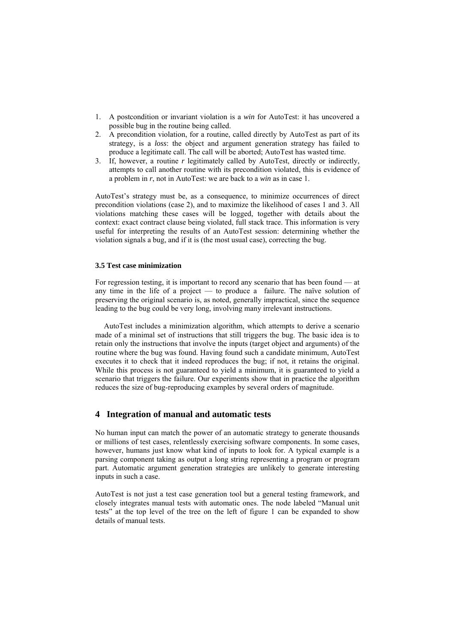- 1. A postcondition or invariant violation is a *win* for AutoTest: it has uncovered a possible bug in the routine being called.
- 2. A precondition violation, for a routine, called directly by AutoTest as part of its strategy, is a *loss*: the object and argument generation strategy has failed to produce a legitimate call. The call will be aborted; AutoTest has wasted time.
- 3. If, however, a routine *r* legitimately called by AutoTest, directly or indirectly, attempts to call another routine with its precondition violated, this is evidence of a problem in *r*, not in AutoTest: we are back to a *win* as in case 1.

AutoTest's strategy must be, as a consequence, to minimize occurrences of direct precondition violations (case 2), and to maximize the likelihood of cases 1 and 3. All violations matching these cases will be logged, together with details about the context: exact contract clause being violated, full stack trace. This information is very useful for interpreting the results of an AutoTest session: determining whether the violation signals a bug, and if it is (the most usual case), correcting the bug.

#### **3.5 Test case minimization**

For regression testing, it is important to record any scenario that has been found — at any time in the life of a project — to produce a failure. The naïve solution of preserving the original scenario is, as noted, generally impractical, since the sequence leading to the bug could be very long, involving many irrelevant instructions.

AutoTest includes a minimization algorithm, which attempts to derive a scenario made of a minimal set of instructions that still triggers the bug. The basic idea is to retain only the instructions that involve the inputs (target object and arguments) of the routine where the bug was found. Having found such a candidate minimum, AutoTest executes it to check that it indeed reproduces the bug; if not, it retains the original. While this process is not guaranteed to yield a minimum, it is guaranteed to yield a scenario that triggers the failure. Our experiments show that in practice the algorithm reduces the size of bug-reproducing examples by several orders of magnitude.

## **4 Integration of manual and automatic tests**

No human input can match the power of an automatic strategy to generate thousands or millions of test cases, relentlessly exercising software components. In some cases, however, humans just know what kind of inputs to look for. A typical example is a parsing component taking as output a long string representing a program or program part. Automatic argument generation strategies are unlikely to generate interesting inputs in such a case.

AutoTest is not just a test case generation tool but a general testing framework, and closely integrates manual tests with automatic ones. The node labeled "Manual unit tests" at the top level of the tree on the left of figure 1 can be expanded to show details of manual tests.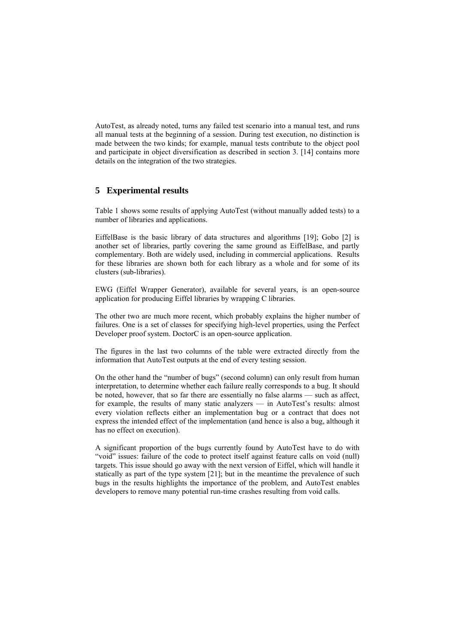AutoTest, as already noted, turns any failed test scenario into a manual test, and runs all manual tests at the beginning of a session. During test execution, no distinction is made between the two kinds; for example, manual tests contribute to the object pool and participate in object diversification as described in section 3. [[14\]](#page-16-9) contains more details on the integration of the two strategies.

## **5 Experimental results**

Table 1 shows some results of applying AutoTest (without manually added tests) to a number of libraries and applications.

EiffelBase is the basic library of data structures and algorithms [[19\]](#page-16-10); Gobo [\[2](#page-15-3)] is another set of libraries, partly covering the same ground as EiffelBase, and partly complementary. Both are widely used, including in commercial applications. Results for these libraries are shown both for each library as a whole and for some of its clusters (sub-libraries).

EWG (Eiffel Wrapper Generator), available for several years, is an open-source application for producing Eiffel libraries by wrapping C libraries.

The other two are much more recent, which probably explains the higher number of failures. One is a set of classes for specifying high-level properties, using the Perfect Developer proof system. DoctorC is an open-source application.

The figures in the last two columns of the table were extracted directly from the information that AutoTest outputs at the end of every testing session.

On the other hand the "number of bugs" (second column) can only result from human interpretation, to determine whether each failure really corresponds to a bug. It should be noted, however, that so far there are essentially no false alarms — such as affect, for example, the results of many static analyzers — in AutoTest's results: almost every violation reflects either an implementation bug or a contract that does not express the intended effect of the implementation (and hence is also a bug, although it has no effect on execution).

A significant proportion of the bugs currently found by AutoTest have to do with "void" issues: failure of the code to protect itself against feature calls on void (null) targets. This issue should go away with the next version of Eiffel, which will handle it statically as part of the type system [\[21](#page-16-11)]; but in the meantime the prevalence of such bugs in the results highlights the importance of the problem, and AutoTest enables developers to remove many potential run-time crashes resulting from void calls.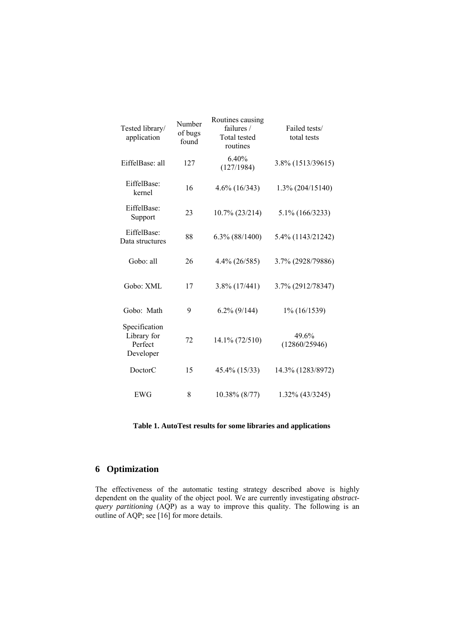| Tested library/<br>application                       | Number<br>of bugs<br>found | Routines causing<br>failures /<br>Total tested<br>routines | Failed tests/<br>total tests |  |
|------------------------------------------------------|----------------------------|------------------------------------------------------------|------------------------------|--|
| EiffelBase: all                                      | 127                        | 6.40%<br>(127/1984)                                        | 3.8% (1513/39615)            |  |
| EiffelBase:<br>kernel                                | 16                         | $4.6\%$ (16/343)                                           | $1.3\%$ (204/15140)          |  |
| EiffelBase:<br>Support                               | 23                         | 10.7% (23/214)                                             | 5.1% (166/3233)              |  |
| EiffelBase:<br>Data structures                       | 88                         | $6.3\%$ (88/1400)                                          | 5.4% (1143/21242)            |  |
| Gobo: all                                            | 26                         | $4.4\%$ (26/585)                                           | 3.7% (2928/79886)            |  |
| Gobo: XML                                            | 17                         | $3.8\%$ (17/441)                                           | 3.7% (2912/78347)            |  |
| Gobo: Math                                           | 9                          | $6.2\%$ (9/144)                                            | 1% (16/1539)                 |  |
| Specification<br>Library for<br>Perfect<br>Developer | 72                         | 14.1% (72/510)                                             | 49.6%<br>(12860/25946)       |  |
| DoctorC                                              | 15                         | 45.4% (15/33)                                              | 14.3% (1283/8972)            |  |
| <b>EWG</b>                                           | 8                          | 10.38% (8/77)                                              | 1.32% (43/3245)              |  |

**Table 1. AutoTest results for some libraries and applications** 

# **6 Optimization**

The effectiveness of the automatic testing strategy described above is highly dependent on the quality of the object pool. We are currently investigating *abstractquery partitioning* (AQP) as a way to improve this quality. The following is an outline of AQP; see [[16\]](#page-16-12) for more details.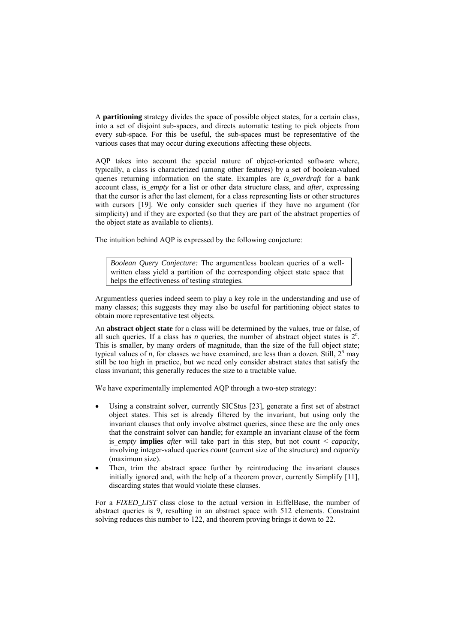A **partitioning** strategy divides the space of possible object states, for a certain class, into a set of disjoint sub-spaces, and directs automatic testing to pick objects from every sub-space. For this be useful, the sub-spaces must be representative of the various cases that may occur during executions affecting these objects.

AQP takes into account the special nature of object-oriented software where, typically, a class is characterized (among other features) by a set of boolean-valued queries returning information on the state. Examples are *is\_overdraft* for a bank account class, *is\_empty* for a list or other data structure class, and *after*, expressing that the cursor is after the last element, for a class representing lists or other structures with cursors [\[19](#page-16-10)]. We only consider such queries if they have no argument (for simplicity) and if they are exported (so that they are part of the abstract properties of the object state as available to clients).

The intuition behind AQP is expressed by the following conjecture:

*Boolean Query Conjecture:* The argumentless boolean queries of a wellwritten class yield a partition of the corresponding object state space that helps the effectiveness of testing strategies.

Argumentless queries indeed seem to play a key role in the understanding and use of many classes; this suggests they may also be useful for partitioning object states to obtain more representative test objects.

An **abstract object state** for a class will be determined by the values, true or false, of all such queries. If a class has *n* queries, the number of abstract object states is  $2^n$ . This is smaller, by many orders of magnitude, than the size of the full object state; typical values of  $n$ , for classes we have examined, are less than a dozen. Still,  $2<sup>n</sup>$  may still be too high in practice, but we need only consider abstract states that satisfy the class invariant; this generally reduces the size to a tractable value.

We have experimentally implemented AQP through a two-step strategy:

- Using a constraint solver, currently SICStus [[23\]](#page-16-13), generate a first set of abstract object states. This set is already filtered by the invariant, but using only the invariant clauses that only involve abstract queries, since these are the only ones that the constraint solver can handle; for example an invariant clause of the form is *empty* **implies** *after* will take part in this step, but not *count*  $\leq$  *capacity*, involving integer-valued queries *count* (current size of the structure) and *capacity* (maximum size).
- Then, trim the abstract space further by reintroducing the invariant clauses initially ignored and, with the help of a theorem prover, currently Simplify [[11\]](#page-16-14), discarding states that would violate these clauses.

For a *FIXED\_LIST* class close to the actual version in EiffelBase, the number of abstract queries is 9, resulting in an abstract space with 512 elements. Constraint solving reduces this number to 122, and theorem proving brings it down to 22.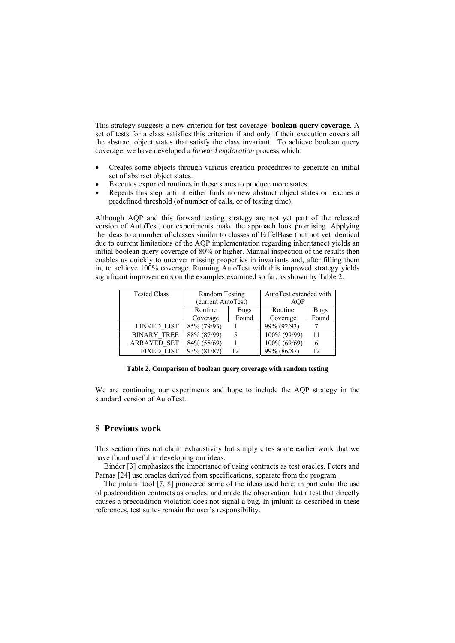This strategy suggests a new criterion for test coverage: **boolean query coverage**. A set of tests for a class satisfies this criterion if and only if their execution covers all the abstract object states that satisfy the class invariant. To achieve boolean query coverage, we have developed a *forward exploration* process which:

- Creates some objects through various creation procedures to generate an initial set of abstract object states.
- Executes exported routines in these states to produce more states.
- Repeats this step until it either finds no new abstract object states or reaches a predefined threshold (of number of calls, or of testing time).

Although AQP and this forward testing strategy are not yet part of the released version of AutoTest, our experiments make the approach look promising. Applying the ideas to a number of classes similar to classes of EiffelBase (but not yet identical due to current limitations of the AQP implementation regarding inheritance) yields an initial boolean query coverage of 80% or higher. Manual inspection of the results then enables us quickly to uncover missing properties in invariants and, after filling them in, to achieve 100% coverage. Running AutoTest with this improved strategy yields significant improvements on the examples examined so far, as shown by Table 2.

| <b>Tested Class</b> | Random Testing     |             | AutoTest extended with |             |
|---------------------|--------------------|-------------|------------------------|-------------|
|                     | (current AutoTest) |             | AQF                    |             |
|                     | Routine            | <b>Bugs</b> | Routine                | <b>Bugs</b> |
|                     | Coverage           | Found       | Coverage               | Found       |
| <b>LINKED LIST</b>  | 85% (79/93)        |             | 99% (92/93)            |             |
| <b>BINARY TREE</b>  | 88% (87/99)        |             | 100% (99/99)           | 11          |
| <b>ARRAYED SET</b>  | 84% (58/69)        |             | 100% (69/69)           | 6           |
| <b>FIXED LIST</b>   | 93% (81/87)        | 12          | 99% (86/87)            | 12          |

**Table 2. Comparison of boolean query coverage with random testing** 

We are continuing our experiments and hope to include the AQP strategy in the standard version of AutoTest.

## 8 **Previous work**

This section does not claim exhaustivity but simply cites some earlier work that we have found useful in developing our ideas.

Binder [[3\]](#page-15-0) emphasizes the importance of using contracts as test oracles. Peters and Parnas [\[24](#page-16-15)] use oracles derived from specifications, separate from the program.

The jmlunit tool [\[7](#page-16-16), [8\]](#page-16-17) pioneered some of the ideas used here, in particular the use of postcondition contracts as oracles, and made the observation that a test that directly causes a precondition violation does not signal a bug. In jmlunit as described in these references, test suites remain the user's responsibility.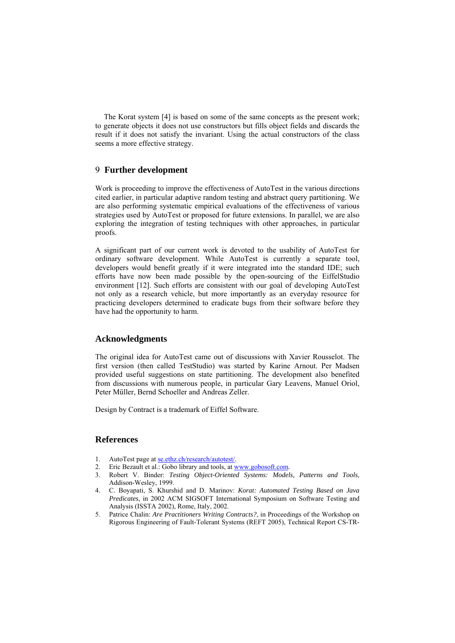The Korat system [[4\]](#page-15-2) is based on some of the same concepts as the present work; to generate objects it does not use constructors but fills object fields and discards the result if it does not satisfy the invariant. Using the actual constructors of the class seems a more effective strategy.

## 9 **Further development**

Work is proceeding to improve the effectiveness of AutoTest in the various directions cited earlier, in particular adaptive random testing and abstract query partitioning. We are also performing systematic empirical evaluations of the effectiveness of various strategies used by AutoTest or proposed for future extensions. In parallel, we are also exploring the integration of testing techniques with other approaches, in particular proofs.

A significant part of our current work is devoted to the usability of AutoTest for ordinary software development. While AutoTest is currently a separate tool, developers would benefit greatly if it were integrated into the standard IDE; such efforts have now been made possible by the open-sourcing of the EiffelStudio environment [\[12](#page-16-18)]. Such efforts are consistent with our goal of developing AutoTest not only as a research vehicle, but more importantly as an everyday resource for practicing developers determined to eradicate bugs from their software before they have had the opportunity to harm.

## **Acknowledgments**

The original idea for AutoTest came out of discussions with Xavier Rousselot. The first version (then called TestStudio) was started by Karine Arnout. Per Madsen provided useful suggestions on state partitioning. The development also benefited from discussions with numerous people, in particular Gary Leavens, Manuel Oriol, Peter Müller, Bernd Schoeller and Andreas Zeller.

Design by Contract is a trademark of Eiffel Software.

# **References**

- <span id="page-15-1"></span>1. AutoTest page at [se.ethz.ch/research/autotest/.](http://se.ethz.ch/research/autotest/)
- Eric Bezault et al.: Gobo library and tools, at [www.gobosoft.com.](http://www.gobosoft.com/)
- <span id="page-15-3"></span><span id="page-15-0"></span>3. Robert V. Binder: *Testing Object-Oriented Systems: Models, Patterns and Tools*, Addison-Wesley, 1999.
- <span id="page-15-2"></span>4. C. Boyapati, S. Khurshid and D. Marinov: *Korat: Automated Testing Based on Java Predicates*, in 2002 ACM SIGSOFT International Symposium on Software Testing and Analysis (ISSTA 2002), Rome, Italy, 2002.
- 5. Patrice Chalin: *Are Practitioners Writing Contracts?*, in Proceedings of the Workshop on Rigorous Engineering of Fault-Tolerant Systems (REFT 2005), Technical Report CS-TR-